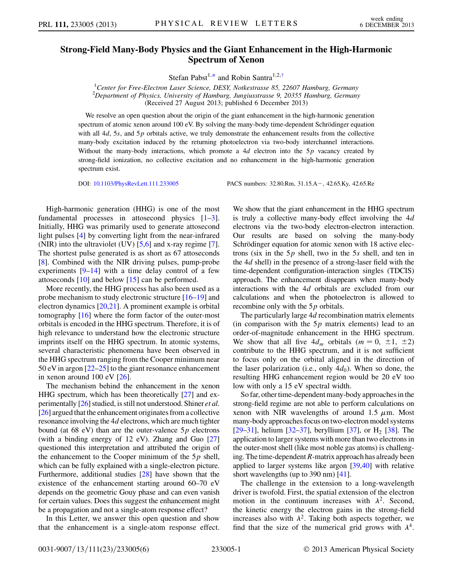## <span id="page-0-0"></span>Strong-Field Many-Body Physics and the Giant Enhancement in the High-Harmonic Spectrum of Xenon

Stefan Pabst<sup>1[,\\*](#page-4-0)</sup> and Robin Santra<sup>1,2,[†](#page-4-1)</sup>

<sup>1</sup>Center for Free-Electron Laser Science, DESY, Notkestrasse 85, 22607 Hamburg, Germany <sup>2</sup>Department of Physics, University of Hamburg, Jungiusstrasse 9, 20355 Hamburg, Germany (Received 27 August 2013; published 6 December 2013)

We resolve an open question about the origin of the giant enhancement in the high-harmonic generation spectrum of atomic xenon around  $100$  eV. By solving the many-body time-dependent Schrödinger equation with all  $4d$ , 5s, and 5p orbitals active, we truly demonstrate the enhancement results from the collective many-body excitation induced by the returning photoelectron via two-body interchannel interactions. Without the many-body interactions, which promote a  $4d$  electron into the  $5p$  vacancy created by strong-field ionization, no collective excitation and no enhancement in the high-harmonic generation spectrum exist.

DOI: [10.1103/PhysRevLett.111.233005](http://dx.doi.org/10.1103/PhysRevLett.111.233005) PACS numbers: 32.80.Rm, 31.15.A-, 42.65.Ky, 42.65.Re

High-harmonic generation (HHG) is one of the most fundamental processes in attosecond physics [\[1](#page-4-2)–[3\]](#page-4-3). Initially, HHG was primarily used to generate attosecond light pulses [\[4](#page-4-4)] by converting light from the near-infrared (NIR) into the ultraviolet (UV) [\[5,](#page-4-5)[6](#page-4-6)] and x-ray regime [[7\]](#page-4-7). The shortest pulse generated is as short as 67 attoseconds [\[8\]](#page-4-8). Combined with the NIR driving pulses, pump-probe experiments  $[9-14]$  $[9-14]$  $[9-14]$  with a time delay control of a few attoseconds [\[10\]](#page-4-11) and below [\[15\]](#page-4-12) can be performed.

More recently, the HHG process has also been used as a probe mechanism to study electronic structure [[16](#page-4-13)–[19](#page-4-14)] and electron dynamics  $[20,21]$  $[20,21]$ . A prominent example is orbital tomography [\[16\]](#page-4-13) where the form factor of the outer-most orbitals is encoded in the HHG spectrum. Therefore, it is of high relevance to understand how the electronic structure imprints itself on the HHG spectrum. In atomic systems, several characteristic phenomena have been observed in the HHG spectrum ranging from the Cooper minimum near 50 eV in argon [[22](#page-4-17)[–25\]](#page-4-18) to the giant resonance enhancement in xenon around 100 eV [\[26\]](#page-4-19).

The mechanism behind the enhancement in the xenon HHG spectrum, which has been theoretically [\[27\]](#page-4-20) and experimentally [\[26](#page-4-19)] studied, is still not understood. Shiner et al. [\[26\]](#page-4-19) argued that the enhancement originates from a collective resonance involving the 4d electrons, which are much tighter bound (at 68 eV) than are the outer-valence  $5p$  electrons (with a binding energy of 12 eV). Zhang and Guo [\[27\]](#page-4-20) questioned this interpretation and attributed the origin of the enhancement to the Cooper minimum of the  $5p$  shell, which can be fully explained with a single-electron picture. Furthermore, additional studies [[28](#page-4-21)] have shown that the existence of the enhancement starting around 60–70 eV depends on the geometric Gouy phase and can even vanish for certain values. Does this suggest the enhancement might be a propagation and not a single-atom response effect?

In this Letter, we answer this open question and show that the enhancement is a single-atom response effect. We show that the giant enhancement in the HHG spectrum is truly a collective many-body effect involving the  $4d$ electrons via the two-body electron-electron interaction. Our results are based on solving the many-body Schrödinger equation for atomic xenon with 18 active electrons (six in the  $5p$  shell, two in the  $5s$  shell, and ten in the 4d shell) in the presence of a strong-laser field with the time-dependent configuration-interaction singles (TDCIS) approach. The enhancement disappears when many-body interactions with the 4d orbitals are excluded from our calculations and when the photoelectron is allowed to recombine only with the  $5p$  orbitals.

The particularly large 4d recombination matrix elements (in comparison with the  $5p$  matrix elements) lead to an order-of-magnitude enhancement in the HHG spectrum. We show that all five  $4d_m$  orbitals  $(m = 0, \pm 1, \pm 2)$ contribute to the HHG spectrum, and it is not sufficient to focus only on the orbital aligned in the direction of the laser polarization (i.e., only  $4d_0$ ). When so done, the resulting HHG enhancement region would be 20 eV too low with only a 15 eV spectral width.

So far, other time-dependent many-body approaches in the strong-field regime are not able to perform calculations on xenon with NIR wavelengths of around 1.5  $\mu$ m. Most many-body approaches focus on two-electron model systems [\[29–](#page-4-22)[31\]](#page-4-23), helium [[32](#page-4-24)[–37](#page-4-25)], beryllium [\[37\]](#page-4-25), or  $H_2$  [[38](#page-5-0)]. The application to larger systems with more than two electrons in the outer-most shell (like most noble gas atoms) is challenging. The time-dependent  $R$ -matrix approach has already been applied to larger systems like argon [[39](#page-5-1)[,40\]](#page-5-2) with relative short wavelengths (up to 390 nm) [[41](#page-5-3)].

The challenge in the extension to a long-wavelength driver is twofold. First, the spatial extension of the electron motion in the continuum increases with  $\lambda^2$ . Second, the kinetic energy the electron gains in the strong-field increases also with  $\lambda^2$ . Taking both aspects together, we find that the size of the numerical grid grows with  $\lambda^4$ .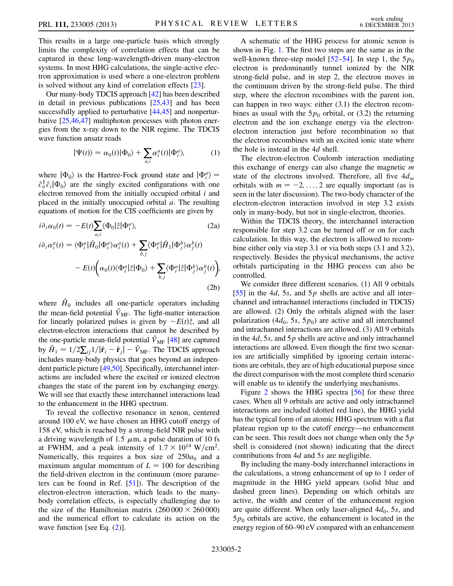This results in a large one-particle basis which strongly limits the complexity of correlation effects that can be captured in these long-wavelength-driven many-electron systems. In most HHG calculations, the single-active electron approximation is used where a one-electron problem is solved without any kind of correlation effects [[23\]](#page-4-26).

Our many-body TDCIS approach [\[42\]](#page-5-4) has been described in detail in previous publications [\[25,](#page-4-18)[43](#page-5-5)] and has been successfully applied to perturbative  $[44, 45]$  $[44, 45]$  $[44, 45]$  and nonperturbative [[25](#page-4-18)[,46,](#page-5-8)[47](#page-5-9)] multiphoton processes with photon energies from the x-ray down to the NIR regime. The TDCIS wave function ansatz reads

$$
|\Psi(t)\rangle = \alpha_0(t)|\Phi_0\rangle + \sum_{a,i} \alpha_i^a(t)|\Phi_i^a\rangle, \tag{1}
$$

where  $|\Phi_0\rangle$  is the Hartree-Fock ground state and  $|\Phi_i^a\rangle =$  $\hat{c}_a^{\dagger} \hat{c}_i | \Phi_0 \rangle$  are the singly excited configurations with one electron removed from the initially occupied orbital  $i$  and placed in the initially unoccupied orbital  $a$ . The resulting equations of motion for the CIS coefficients are given by

<span id="page-1-0"></span>
$$
i\partial_t \alpha_0(t) = -E(t) \sum_{a,i} \langle \Phi_0 | \hat{z} | \Phi_i^a \rangle, \tag{2a}
$$
  
\n
$$
i\partial_t \alpha_i^a(t) = \langle \Phi_i^a | \hat{H}_0 | \Phi_i^a \rangle \alpha_i^a(t) + \sum_{b,j} \langle \Phi_i^a | \hat{H}_1 | \Phi_j^b \rangle \alpha_j^b(t)
$$
  
\n
$$
-E(t) \Big( \alpha_0(t) \langle \Phi_i^a | \hat{z} | \Phi_0 \rangle + \sum_{b,j} \langle \Phi_i^a | \hat{z} | \Phi_j^b \rangle \alpha_j^b(t) \Big), \tag{2b}
$$

where  $\hat{H}_0$  includes all one-particle operators including the mean-field potential  $\hat{V}_{MF}$ . The light-matter interaction for linearly polarized pulses is given by  $-E(t)\hat{z}$ , and all electron-electron interactions that cannot be described by the one-particle mean-field potential  $\hat{V}_{\text{MF}}$  [[48\]](#page-5-10) are captured by  $\hat{H}_1 = 1/2 \sum_{ij} 1/|\hat{\mathbf{r}}_i - \hat{\mathbf{r}}_j| - \hat{V}_{MF}$ . The TDCIS approach includes many-body physics that goes beyond an independent particle picture [[49](#page-5-11)[,50\]](#page-5-12). Specifically, interchannel interactions are included where the excited or ionized electron changes the state of the parent ion by exchanging energy. We will see that exactly these interchannel interactions lead to the enhancement in the HHG spectrum.

To reveal the collective resonance in xenon, centered around 100 eV, we have chosen an HHG cutoff energy of 158 eV, which is reached by a strong-field NIR pulse with a driving wavelength of 1.5  $\mu$ m, a pulse duration of 10 fs at FWHM, and a peak intensity of  $1.7 \times 10^{14}$  W/cm<sup>2</sup>. Numerically, this requires a box size of  $250a_0$  and a maximum angular momentum of  $L = 100$  for describing the field-driven electron in the continuum (more parameters can be found in Ref. [[51](#page-5-13)]). The description of the electron-electron interaction, which leads to the manybody correlation effects, is especially challenging due to the size of the Hamiltonian matrix  $(260\,000 \times 260\,000)$ and the numerical effort to calculate its action on the wave function [see Eq.  $(2)$  $(2)$ ].

A schematic of the HHG process for atomic xenon is shown in Fig. [1.](#page-2-0) The first two steps are the same as in the well-known three-step model [[52](#page-5-14)–[54](#page-5-15)]. In step 1, the  $5p_0$ electron is predominantly tunnel ionized by the NIR strong-field pulse, and in step 2, the electron moves in the continuum driven by the strong-field pulse. The third step, where the electron recombines with the parent ion, can happen in two ways: either (3.1) the electron recombines as usual with the  $5p_0$  orbital, or (3.2) the returning electron and the ion exchange energy via the electronelectron interaction just before recombination so that the electron recombines with an excited ionic state where the hole is instead in the 4d shell.

The electron-electron Coulomb interaction mediating this exchange of energy can also change the magnetic  $m$ state of the electrons involved. Therefore, all five  $4d_m$ orbitals with  $m = -2, \ldots, 2$  are equally important (as is seen in the later discussion). The two-body character of the electron-electron interaction involved in step 3.2 exists only in many-body, but not in single-electron, theories.

Within the TDCIS theory, the interchannel interaction responsible for step 3.2 can be turned off or on for each calculation. In this way, the electron is allowed to recombine either only via step 3.1 or via both steps (3.1 and 3.2), respectively. Besides the physical mechanisms, the active orbitals participating in the HHG process can also be controlled.

We consider three different scenarios. (1) All 9 orbitals [\[55\]](#page-5-16) in the 4*d*, 5*s*, and 5*p* shells are active and all interchannel and intrachannel interactions (included in TDCIS) are allowed. (2) Only the orbitals aligned with the laser polarization (4 $d_0$ , 5s, 5 $p_0$ ) are active and all interchannel and intrachannel interactions are allowed. (3) All 9 orbitals in the  $4d$ , 5s, and 5p shells are active and only intrachannel interactions are allowed. Even though the first two scenarios are artificially simplified by ignoring certain interactions are orbitals, they are of high educational purpose since the direct comparison with the most complete third scenario will enable us to identify the underlying mechanisms.

Figure [2](#page-2-1) shows the HHG spectra [\[56\]](#page-5-17) for these three cases. When all 9 orbitals are active and only intrachannel interactions are included (dotted red line), the HHG yield has the typical form of an atomic HHG spectrum with a flat plateau region up to the cutoff energy—no enhancement can be seen. This result does not change when only the  $5p$ shell is considered (not shown) indicating that the direct contributions from 4d and 5s are negligible.

By including the many-body interchannel interactions in the calculations, a strong enhancement of up to 1 order of magnitude in the HHG yield appears (solid blue and dashed green lines). Depending on which orbitals are active, the width and center of the enhancement region are quite different. When only laser-aligned  $4d_0$ , 5s, and  $5p_0$  orbitals are active, the enhancement is located in the energy region of 60–90 eV compared with an enhancement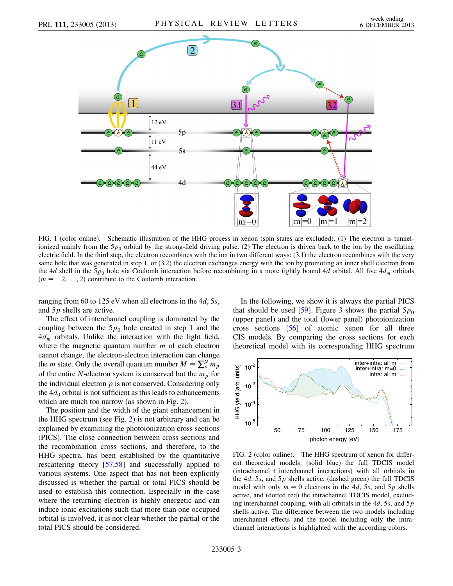<span id="page-2-0"></span>

FIG. 1 (color online). Schematic illustration of the HHG process in xenon (spin states are excluded). (1) The electron is tunnelionized mainly from the  $5p_0$  orbital by the strong-field driving pulse. (2) The electron is driven back to the ion by the oscillating electric field. In the third step, the electron recombines with the ion in two different ways: (3.1) the electron recombines with the very same hole that was generated in step 1, or (3.2) the electron exchanges energy with the ion by promoting an inner shell electron from the 4d shell in the  $5p_0$  hole via Coulomb interaction before recombining in a more tightly bound 4d orbital. All five  $4d_m$  orbitals  $(m = -2, \ldots, 2)$  contribute to the Coulomb interaction.

ranging from 60 to 125 eV when all electrons in the  $4d$ , 5s, and 5p shells are active.

The effect of interchannel coupling is dominated by the coupling between the  $5p_0$  hole created in step 1 and the  $4d_m$  orbitals. Unlike the interaction with the light field, where the magnetic quantum number  $m$  of each electron cannot change, the electron-electron interaction can change the *m* state. Only the overall quantum number  $M = \sum_{p=1}^{N} m_p$ of the entire N-electron system is conserved but the  $m_p$  for the individual electron  $p$  is not conserved. Considering only the  $4d_0$  orbital is not sufficient as this leads to enhancements which are much too narrow (as shown in Fig. [2](#page-2-1)).

The position and the width of the giant enhancement in the HHG spectrum (see Fig. [2](#page-2-1)) is not arbitrary and can be explained by examining the photoionization cross sections (PICS). The close connection between cross sections and the recombination cross sections, and therefore, to the HHG spectra, has been established by the quantitative rescattering theory [\[57](#page-5-18)[,58\]](#page-5-19) and successfully applied to various systems. One aspect that has not been explicitly discussed is whether the partial or total PICS should be used to establish this connection. Especially in the case where the returning electron is highly energetic and can induce ionic excitations such that more than one occupied orbital is involved, it is not clear whether the partial or the total PICS should be considered.

In the following, we show it is always the partial PICS that should be used [\[59\]](#page-5-20). Figure [3](#page-3-0) shows the partial  $5p_0$ (upper panel) and the total (lower panel) photoionization cross sections [\[56\]](#page-5-17) of atomic xenon for all three CIS models. By comparing the cross sections for each theoretical model with its corresponding HHG spectrum

<span id="page-2-1"></span>

FIG. 2 (color online). The HHG spectrum of xenon for different theoretical models: (solid blue) the full TDCIS model  $(intrachannel + interchannel interactions)$  with all orbitals in the  $4d$ , 5s, and 5p shells active, (dashed green) the full TDCIS model with only  $m = 0$  electrons in the 4d, 5s, and 5p shells active, and (dotted red) the intrachannel TDCIS model, excluding interchannel coupling, with all orbitals in the  $4d$ , 5s, and 5p shells active. The difference between the two models including interchannel effects and the model including only the intrachannel interactions is highlighted with the according colors.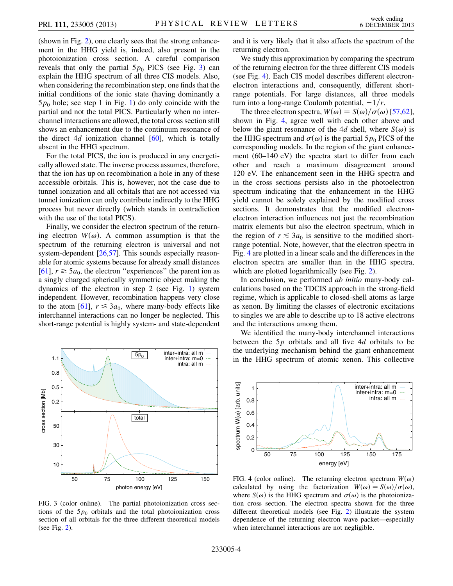(shown in Fig. [2\)](#page-2-1), one clearly sees that the strong enhancement in the HHG yield is, indeed, also present in the photoionization cross section. A careful comparison reveals that only the partial  $5p_0$  PICS (see Fig. [3](#page-3-0)) can explain the HHG spectrum of all three CIS models. Also, when considering the recombination step, one finds that the initial conditions of the ionic state (having dominantly a  $5p_0$  hole; see step 1 in Fig. [1\)](#page-2-0) do only coincide with the partial and not the total PICS. Particularly when no interchannel interactions are allowed, the total cross section still shows an enhancement due to the continuum resonance of the direct 4d ionization channel  $[60]$  $[60]$  $[60]$ , which is totally absent in the HHG spectrum.

For the total PICS, the ion is produced in any energetically allowed state. The inverse process assumes, therefore, that the ion has up on recombination a hole in any of these accessible orbitals. This is, however, not the case due to tunnel ionization and all orbitals that are not accessed via tunnel ionization can only contribute indirectly to the HHG process but never directly (which stands in contradiction with the use of the total PICS).

Finally, we consider the electron spectrum of the returning electron  $W(\omega)$ . A common assumption is that the spectrum of the returning electron is universal and not system-dependent [[26](#page-4-19),[57](#page-5-18)]. This sounds especially reasonable for atomic systems because for already small distances [\[61\]](#page-5-22),  $r \ge 5a_0$ , the electron "experiences" the parent ion as a singly charged spherically symmetric object making the dynamics of the electron in step 2 (see Fig. [1\)](#page-2-0) system independent. However, recombination happens very close to the atom [[61](#page-5-22)],  $r \leq 3a_0$ , where many-body effects like interchannel interactions can no longer be neglected. This short-range potential is highly system- and state-dependent

<span id="page-3-0"></span>

FIG. 3 (color online). The partial photoionization cross sections of the  $5p_0$  orbitals and the total photoionization cross section of all orbitals for the three different theoretical models (see Fig. [2](#page-2-1)).

and it is very likely that it also affects the spectrum of the returning electron.

We study this approximation by comparing the spectrum of the returning electron for the three different CIS models (see Fig. [4\)](#page-3-1). Each CIS model describes different electronelectron interactions and, consequently, different shortrange potentials. For large distances, all three models turn into a long-range Coulomb potential,  $-1/r$ .

The three electron spectra,  $W(\omega) = S(\omega)/\sigma(\omega)$  [\[57,](#page-5-18)[62\]](#page-5-23), shown in Fig. [4,](#page-3-1) agree well with each other above and below the giant resonance of the 4d shell, where  $S(\omega)$  is the HHG spectrum and  $\sigma(\omega)$  is the partial 5 $p_0$  PICS of the corresponding models. In the region of the giant enhancement (60–140 eV) the spectra start to differ from each other and reach a maximum disagreement around 120 eV. The enhancement seen in the HHG spectra and in the cross sections persists also in the photoelectron spectrum indicating that the enhancement in the HHG yield cannot be solely explained by the modified cross sections. It demonstrates that the modified electronelectron interaction influences not just the recombination matrix elements but also the electron spectrum, which in the region of  $r \leq 3a_0$  is sensitive to the modified shortrange potential. Note, however, that the electron spectra in Fig. [4](#page-3-1) are plotted in a linear scale and the differences in the electron spectra are smaller than in the HHG spectra, which are plotted logarithmically (see Fig. [2\)](#page-2-1).

In conclusion, we performed *ab initio* many-body calculations based on the TDCIS approach in the strong-field regime, which is applicable to closed-shell atoms as large as xenon. By limiting the classes of electronic excitations to singles we are able to describe up to 18 active electrons and the interactions among them.

We identified the many-body interchannel interactions between the  $5p$  orbitals and all five  $4d$  orbitals to be the underlying mechanism behind the giant enhancement in the HHG spectrum of atomic xenon. This collective

<span id="page-3-1"></span>

FIG. 4 (color online). The returning electron spectrum  $W(\omega)$ calculated by using the factorization  $W(\omega) = S(\omega)/\sigma(\omega)$ , where  $S(\omega)$  is the HHG spectrum and  $\sigma(\omega)$  is the photoionization cross section. The electron spectra shown for the three different theoretical models (see Fig. [2](#page-2-1)) illustrate the system dependence of the returning electron wave packet—especially when interchannel interactions are not negligible.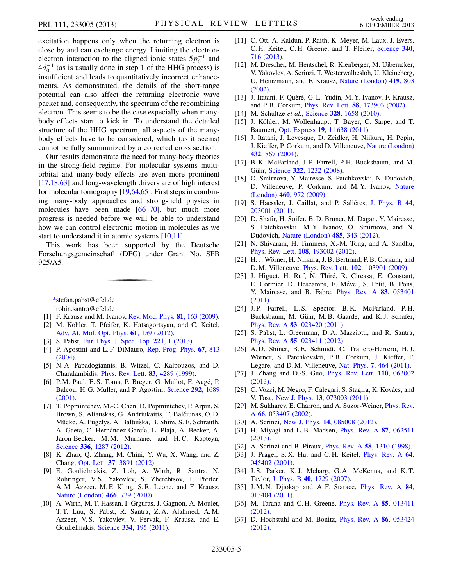excitation happens only when the returning electron is close by and can exchange energy. Limiting the electronelectron interaction to the aligned ionic states  $5p_0^{-1}$  and  $4d_0^{-1}$  (as is usually done in step 1 of the HHG process) is insufficient and leads to quantitatively incorrect enhancements. As demonstrated, the details of the short-range potential can also affect the returning electronic wave packet and, consequently, the spectrum of the recombining electron. This seems to be the case especially when manybody effects start to kick in. To understand the detailed structure of the HHG spectrum, all aspects of the manybody effects have to be considered, which (as it seems) cannot be fully summarized by a corrected cross section.

Our results demonstrate the need for many-body theories in the strong-field regime. For molecular systems multiorbital and many-body effects are even more prominent [\[17,](#page-4-27)[18](#page-4-28),[63](#page-5-24)] and long-wavelength drivers are of high interest for molecular tomography [[19](#page-4-14),[64](#page-5-25)[,65\]](#page-5-26). First steps in combining many-body approaches and strong-field physics in molecules have been made [[66](#page-5-27)[–70](#page-5-28)], but much more progress is needed before we will be able to understand how we can control electronic motion in molecules as we start to understand it in atomic systems [\[10](#page-4-11),[11\]](#page-4-29).

This work has been supported by the Deutsche Forschungsgemeinschaft (DFG) under Grant No. SFB 925/A5.

<span id="page-4-1"></span><span id="page-4-0"></span>[\\*s](#page-0-0)tefan.pabst@cfel.de [†](#page-0-0) robin.santra@cfel.de

- <span id="page-4-2"></span>[1] F. Krausz and M. Ivanov, [Rev. Mod. Phys.](http://dx.doi.org/10.1103/RevModPhys.81.163) **81**, 163 (2009).
- [2] M. Kohler, T. Pfeifer, K. Hatsagortsyan, and C. Keitel, [Adv. At. Mol. Opt. Phys.](http://dx.doi.org/10.1016/B978-0-12-396482-3.00004-1) 61, 159 (2012).
- <span id="page-4-4"></span><span id="page-4-3"></span>[3] S. Pabst, [Eur. Phys. J. Spec. Top.](http://dx.doi.org/10.1140/epjst/e2013-01819-x) 221, 1 (2013).
- [4] P. Agostini and L. F. DiMauro, [Rep. Prog. Phys.](http://dx.doi.org/10.1088/0034-4885/67/6/R01) 67, 813 [\(2004\)](http://dx.doi.org/10.1088/0034-4885/67/6/R01).
- <span id="page-4-5"></span>[5] N. A. Papadogiannis, B. Witzel, C. Kalpouzos, and D. Charalambidis, [Phys. Rev. Lett.](http://dx.doi.org/10.1103/PhysRevLett.83.4289) 83, 4289 (1999).
- <span id="page-4-6"></span>[6] P. M. Paul, E. S. Toma, P. Breger, G. Mullot, F. Augé, P. Balcou, H. G. Muller, and P. Agostini, [Science](http://dx.doi.org/10.1126/science.1059413) 292, 1689 [\(2001\)](http://dx.doi.org/10.1126/science.1059413).
- <span id="page-4-7"></span>[7] T. Popmintchev, M.-C. Chen, D. Popmintchev, P. Arpin, S. Brown, S. Aliauskas, G. Andriukaitis, T. Balčiunas, O. D. Mücke, A. Pugzlys, A. Baltuiška, B. Shim, S. E. Schrauth, A. Gaeta, C. Hernández-García, L. Plaja, A. Becker, A. Jaron-Becker, M.M. Murnane, and H.C. Kapteyn, Science 336[, 1287 \(2012\)](http://dx.doi.org/10.1126/science.1218497).
- <span id="page-4-8"></span>[8] K. Zhao, Q. Zhang, M. Chini, Y. Wu, X. Wang, and Z. Chang, Opt. Lett. 37[, 3891 \(2012\)](http://dx.doi.org/10.1364/OL.37.003891).
- <span id="page-4-9"></span>[9] E. Goulielmakis, Z. Loh, A. Wirth, R. Santra, N. Rohringer, V. S. Yakovlev, S. Zherebtsov, T. Pfeifer, A. M. Azzeer, M. F. Kling, S. R. Leone, and F. Krausz, [Nature \(London\)](http://dx.doi.org/10.1038/nature09212) 466, 739 (2010).
- <span id="page-4-11"></span>[10] A. Wirth, M. T. Hassan, I. Grguras, J. Gagnon, A. Moulet, T. T. Luu, S. Pabst, R. Santra, Z. A. Alahmed, A. M. Azzeer, V. S. Yakovlev, V. Pervak, F. Krausz, and E. Goulielmakis, Science 334[, 195 \(2011\)](http://dx.doi.org/10.1126/science.1210268).
- <span id="page-4-29"></span>[11] C. Ott, A. Kaldun, P. Raith, K. Meyer, M. Laux, J. Evers, C. H. Keitel, C. H. Greene, and T. Pfeifer, [Science](http://dx.doi.org/10.1126/science.1234407) 340, [716 \(2013\)](http://dx.doi.org/10.1126/science.1234407).
- [12] M. Drescher, M. Hentschel, R. Kienberger, M. Uiberacker, V. Yakovlev, A. Scrinzi, T. Westerwalbesloh, U. Kleineberg, U. Heinzmann, and F. Krausz, [Nature \(London\)](http://dx.doi.org/10.1038/nature01143) 419, 803 [\(2002\).](http://dx.doi.org/10.1038/nature01143)
- [13] J. Itatani, F. Quéré, G. L. Yudin, M. Y. Ivanov, F. Krausz, and P. B. Corkum, Phys. Rev. Lett. 88[, 173903 \(2002\).](http://dx.doi.org/10.1103/PhysRevLett.88.173903)
- <span id="page-4-10"></span>[14] M. Schultze et al., Science 328[, 1658 \(2010\).](http://dx.doi.org/10.1126/science.1189401)
- <span id="page-4-12"></span>[15] J. Köhler, M. Wollenhaupt, T. Bayer, C. Sarpe, and T. Baumert, Opt. Express 19[, 11 638 \(2011\).](http://dx.doi.org/10.1364/OE.19.011638)
- <span id="page-4-13"></span>[16] J. Itatani, J. Levesque, D. Zeidler, H. Niikura, H. Pepin, J. Kieffer, P. Corkum, and D. Villeneuve, [Nature \(London\)](http://dx.doi.org/10.1038/nature03183) 432[, 867 \(2004\).](http://dx.doi.org/10.1038/nature03183)
- <span id="page-4-27"></span>[17] B. K. McFarland, J. P. Farrell, P. H. Bucksbaum, and M. Gühr, Science 322[, 1232 \(2008\).](http://dx.doi.org/10.1126/science.1162780)
- <span id="page-4-28"></span>[18] O. Smirnova, Y. Mairesse, S. Patchkovskii, N. Dudovich, D. Villeneuve, P. Corkum, and M. Y. Ivanov, [Nature](http://dx.doi.org/10.1038/nature08253) (London) 460[, 972 \(2009\).](http://dx.doi.org/10.1038/nature08253)
- <span id="page-4-14"></span>[19] S. Haessler, J. Caillat, and P. Saliéres, [J. Phys. B](http://dx.doi.org/10.1088/0953-4075/44/20/203001) 44, [203001 \(2011\).](http://dx.doi.org/10.1088/0953-4075/44/20/203001)
- <span id="page-4-15"></span>[20] D. Shafir, H. Soifer, B. D. Bruner, M. Dagan, Y. Mairesse, S. Patchkovskii, M. Y. Ivanov, O. Smirnova, and N. Dudovich, [Nature \(London\)](http://dx.doi.org/10.1038/nature11025) 485, 343 (2012).
- <span id="page-4-16"></span>[21] N. Shivaram, H. Timmers, X.-M. Tong, and A. Sandhu, Phys. Rev. Lett. 108[, 193002 \(2012\).](http://dx.doi.org/10.1103/PhysRevLett.108.193002)
- <span id="page-4-17"></span>[22] H. J. Wörner, H. Niikura, J. B. Bertrand, P. B. Corkum, and D. M. Villeneuve, Phys. Rev. Lett. 102[, 103901 \(2009\).](http://dx.doi.org/10.1103/PhysRevLett.102.103901)
- <span id="page-4-26"></span>[23] J. Higuet, H. Ruf, N. Thiré, R. Cireasa, E. Constant, E. Cormier, D. Descamps, E. Mével, S. Petit, B. Pons, Y. Mairesse, and B. Fabre, [Phys. Rev. A](http://dx.doi.org/10.1103/PhysRevA.83.053401) 83, 053401 [\(2011\)](http://dx.doi.org/10.1103/PhysRevA.83.053401).
- [24] J.P. Farrell, L.S. Spector, B.K. McFarland, P.H. Bucksbaum, M. Gühr, M. B. Gaarde, and K. J. Schafer, Phys. Rev. A 83[, 023420 \(2011\).](http://dx.doi.org/10.1103/PhysRevA.83.023420)
- <span id="page-4-18"></span>[25] S. Pabst, L. Greenman, D. A. Mazziotti, and R. Santra, Phys. Rev. A 85[, 023411 \(2012\).](http://dx.doi.org/10.1103/PhysRevA.85.023411)
- <span id="page-4-19"></span>[26] A. D. Shiner, B. E. Schmidt, C. Trallero-Herrero, H. J. Wörner, S. Patchkovskii, P.B. Corkum, J. Kieffer, F. Legare, and D. M. Villeneuve, Nat. Phys. 7[, 464 \(2011\).](http://dx.doi.org/10.1038/nphys1940)
- <span id="page-4-20"></span>[27] J. Zhang and D.-S. Guo, [Phys. Rev. Lett.](http://dx.doi.org/10.1103/PhysRevLett.110.063002) **110**, 063002 [\(2013\)](http://dx.doi.org/10.1103/PhysRevLett.110.063002).
- <span id="page-4-21"></span>[28] C. Vozzi, M. Negro, F. Calegari, S. Stagira, K. Kovács, and V. Tosa, New J. Phys. 13[, 073003 \(2011\).](http://dx.doi.org/10.1088/1367-2630/13/7/073003)
- <span id="page-4-22"></span>[29] M. Sukharev, E. Charron, and A. Suzor-Weiner, *[Phys. Rev.](http://dx.doi.org/10.1103/PhysRevA.66.053407)* A 66[, 053407 \(2002\)](http://dx.doi.org/10.1103/PhysRevA.66.053407).
- <span id="page-4-23"></span>[30] A. Scrinzi, New J. Phys. **14**[, 085008 \(2012\)](http://dx.doi.org/10.1088/1367-2630/14/8/085008).
- [31] H. Miyagi and L. B. Madsen, *[Phys. Rev. A](http://dx.doi.org/10.1103/PhysRevA.87.062511)* 87, 062511 [\(2013\)](http://dx.doi.org/10.1103/PhysRevA.87.062511).
- <span id="page-4-24"></span>[32] A. Scrinzi and B. Piraux, *Phys. Rev. A* **58**[, 1310 \(1998\)](http://dx.doi.org/10.1103/PhysRevA.58.1310).
- [33] J. Prager, S. X. Hu, and C. H. Keitel, *[Phys. Rev. A](http://dx.doi.org/10.1103/PhysRevA.64.045402)* 64, [045402 \(2001\).](http://dx.doi.org/10.1103/PhysRevA.64.045402)
- [34] J.S. Parker, K.J. Meharg, G.A. McKenna, and K.T. Taylor, J. Phys. B 40[, 1729 \(2007\).](http://dx.doi.org/10.1088/0953-4075/40/10/008)
- [35] J.M.N. Djiokap and A.F. Starace, [Phys. Rev. A](http://dx.doi.org/10.1103/PhysRevA.84.013404) 84, [013404 \(2011\).](http://dx.doi.org/10.1103/PhysRevA.84.013404)
- [36] M. Tarana and C. H. Greene, *[Phys. Rev. A](http://dx.doi.org/10.1103/PhysRevA.85.013411)* 85, 013411 [\(2012\)](http://dx.doi.org/10.1103/PhysRevA.85.013411).
- <span id="page-4-25"></span>[37] D. Hochstuhl and M. Bonitz, *[Phys. Rev. A](http://dx.doi.org/10.1103/PhysRevA.86.053424)* **86**, 053424 [\(2012\)](http://dx.doi.org/10.1103/PhysRevA.86.053424).